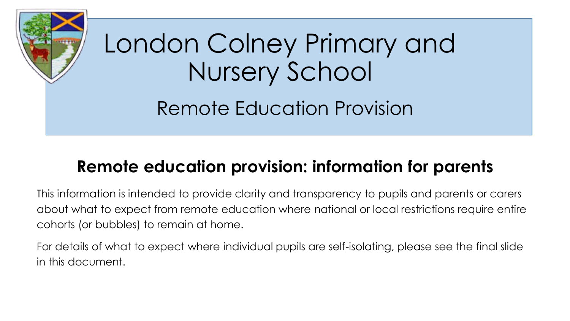

# **Remote education provision: information for parents**

This information is intended to provide clarity and transparency to pupils and parents or carers about what to expect from remote education where national or local restrictions require entire cohorts (or bubbles) to remain at home.

For details of what to expect where individual pupils are self-isolating, please see the final slide in this document.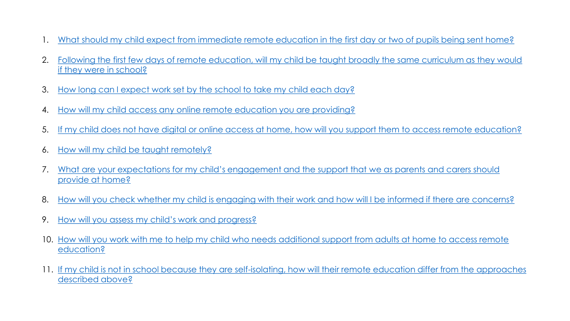- 1. [What should my child expect from immediate remote education in the first day or two of pupils being sent home?](#page-2-0)
- 2. Following the first few days of remote education, will my child be taught broadly the same curriculum as they would if they were in school?
- 3. [How long can I expect work set by the school to take my child each day?](#page-4-0)
- 4. [How will my child access any online remote education you are providing?](#page-5-0)
- 5. [If my child does not have digital or online access at home, how will you support them to access remote education?](#page-6-0)
- 6. [How will my child be taught remotely?](#page-7-0)
- 7. [What are your expectations for my child's engagement and the support that we as parents and carers should](#page-8-0)  provide at home?
- 8. [How will you check whether my child is engaging with their work and how will I be informed if there are concerns?](#page-9-0)
- 9. [How will you assess my child's work and progress?](#page-10-0)
- 10. [How will you work with me to help my child who needs additional support from adults at home to access remote](#page-11-0)  education?
- 11. [If my child is not in school because they are self-isolating, how will their remote education differ from the approaches](#page-12-0)  described above?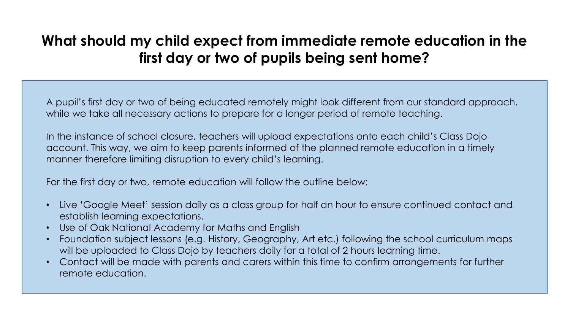# <span id="page-2-0"></span>**What should my child expect from immediate remote education in the first day or two of pupils being sent home?**

A pupil's first day or two of being educated remotely might look different from our standard approach, while we take all necessary actions to prepare for a longer period of remote teaching.

In the instance of school closure, teachers will upload expectations onto each child's Class Dojo account. This way, we aim to keep parents informed of the planned remote education in a timely manner therefore limiting disruption to every child's learning.

For the first day or two, remote education will follow the outline below:

- Live 'Google Meet' session daily as a class group for half an hour to ensure continued contact and establish learning expectations.
- Use of Oak National Academy for Maths and English
- Foundation subject lessons (e.g. History, Geography, Art etc.) following the school curriculum maps will be uploaded to Class Dojo by teachers daily for a total of 2 hours learning time.
- Contact will be made with parents and carers within this time to confirm arrangements for further remote education.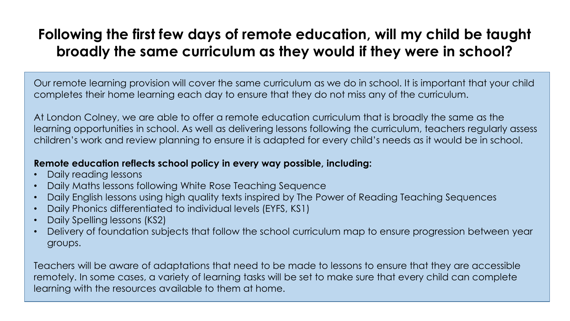# <span id="page-3-0"></span>**Following the first few days of remote education, will my child be taught broadly the same curriculum as they would if they were in school?**

Our remote learning provision will cover the same curriculum as we do in school. It is important that your child completes their home learning each day to ensure that they do not miss any of the curriculum.

At London Colney, we are able to offer a remote education curriculum that is broadly the same as the learning opportunities in school. As well as delivering lessons following the curriculum, teachers regularly assess children's work and review planning to ensure it is adapted for every child's needs as it would be in school.

#### **Remote education reflects school policy in every way possible, including:**

- Daily reading lessons
- Daily Maths lessons following White Rose Teaching Sequence
- Daily English lessons using high quality texts inspired by The Power of Reading Teaching Sequences
- Daily Phonics differentiated to individual levels (EYFS, KS1)
- Daily Spelling lessons (KS2)
- Delivery of foundation subjects that follow the school curriculum map to ensure progression between year groups.

Teachers will be aware of adaptations that need to be made to lessons to ensure that they are accessible remotely. In some cases, a variety of learning tasks will be set to make sure that every child can complete learning with the resources available to them at home.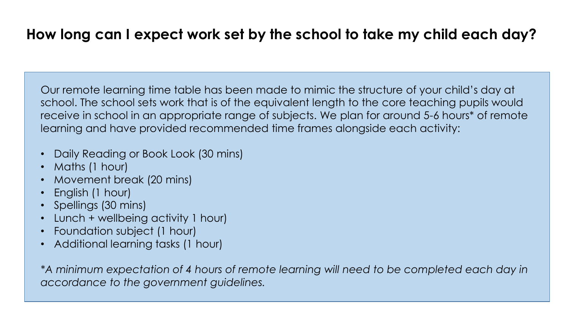# <span id="page-4-0"></span>**How long can I expect work set by the school to take my child each day?**

Our remote learning time table has been made to mimic the structure of your child's day at school. The school sets work that is of the equivalent length to the core teaching pupils would receive in school in an appropriate range of subjects. We plan for around 5-6 hours\* of remote learning and have provided recommended time frames alongside each activity:

- Daily Reading or Book Look (30 mins)
- Maths (1 hour)
- Movement break (20 mins)
- English (1 hour)
- Spellings (30 mins)
- Lunch + wellbeing activity 1 hour)
- Foundation subject (1 hour)
- Additional learning tasks (1 hour)

*\*A minimum expectation of 4 hours of remote learning will need to be completed each day in accordance to the government guidelines.*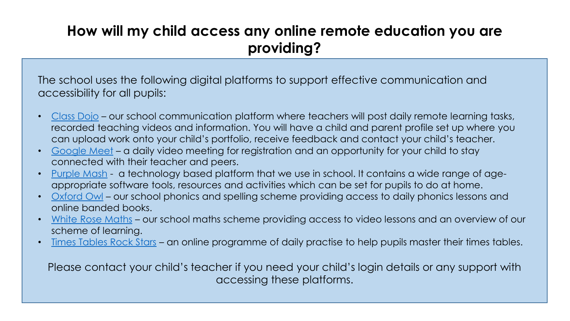# <span id="page-5-0"></span>**How will my child access any online remote education you are providing?**

The school uses the following digital platforms to support effective communication and accessibility for all pupils:

- [Class Dojo](https://classdojo.com/) our school communication platform where teachers will post daily remote learning tasks, recorded teaching videos and information. You will have a child and parent profile set up where you can upload work onto your child's portfolio, receive feedback and contact your child's teacher.
- [Google Meet](https://meet.google.com/) a daily video meeting for registration and an opportunity for your child to stay connected with their teacher and peers.
- [Purple Mash](https://www.purplemash.com/login/) a technology based platform that we use in school. It contains a wide range of ageappropriate software tools, resources and activities which can be set for pupils to do at home.
- [Oxford Owl](https://www.oxfordowl.co.uk/oxford-owl-ebook-collection) our school phonics and spelling scheme providing access to daily phonics lessons and online banded books.
- [White Rose Maths](https://whiterosemaths.com/) our school maths scheme providing access to video lessons and an overview of our scheme of learning.
- [Times Tables Rock Stars](https://ttrockstars.com/) an online programme of daily practise to help pupils master their times tables.

Please contact your child's teacher if you need your child's login details or any support with accessing these platforms.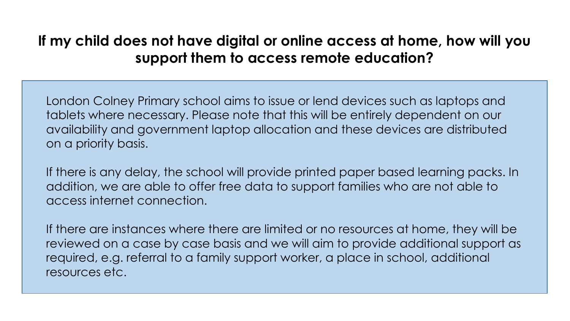# <span id="page-6-0"></span>**If my child does not have digital or online access at home, how will you support them to access remote education?**

London Colney Primary school aims to issue or lend devices such as laptops and tablets where necessary. Please note that this will be entirely dependent on our availability and government laptop allocation and these devices are distributed on a priority basis.

If there is any delay, the school will provide printed paper based learning packs. In addition, we are able to offer free data to support families who are not able to access internet connection.

If there are instances where there are limited or no resources at home, they will be reviewed on a case by case basis and we will aim to provide additional support as required, e.g. referral to a family support worker, a place in school, additional resources etc.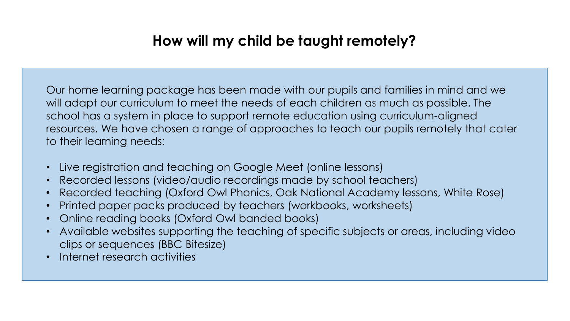# **How will my child be taught remotely?**

<span id="page-7-0"></span>Our home learning package has been made with our pupils and families in mind and we will adapt our curriculum to meet the needs of each children as much as possible. The school has a system in place to support remote education using curriculum-aligned resources. We have chosen a range of approaches to teach our pupils remotely that cater to their learning needs:

- Live registration and teaching on Google Meet (online lessons)
- Recorded lessons (video/audio recordings made by school teachers)
- Recorded teaching (Oxford Owl Phonics, Oak National Academy lessons, White Rose)
- Printed paper packs produced by teachers (workbooks, worksheets)
- Online reading books (Oxford Owl banded books)
- Available websites supporting the teaching of specific subjects or areas, including video clips or sequences (BBC Bitesize)
- Internet research activities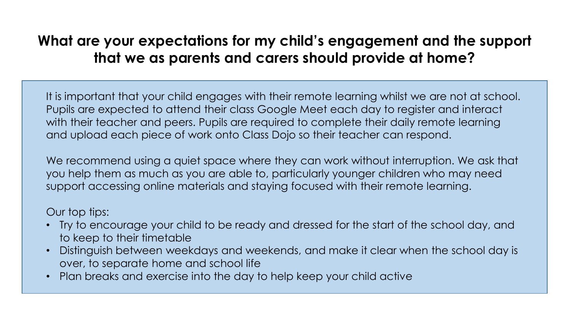# <span id="page-8-0"></span>**What are your expectations for my child's engagement and the support that we as parents and carers should provide at home?**

It is important that your child engages with their remote learning whilst we are not at school. Pupils are expected to attend their class Google Meet each day to register and interact with their teacher and peers. Pupils are required to complete their daily remote learning and upload each piece of work onto Class Dojo so their teacher can respond.

We recommend using a quiet space where they can work without interruption. We ask that you help them as much as you are able to, particularly younger children who may need support accessing online materials and staying focused with their remote learning.

### Our top tips:

- Try to encourage your child to be ready and dressed for the start of the school day, and to keep to their timetable
- Distinguish between weekdays and weekends, and make it clear when the school day is over, to separate home and school life
- Plan breaks and exercise into the day to help keep your child active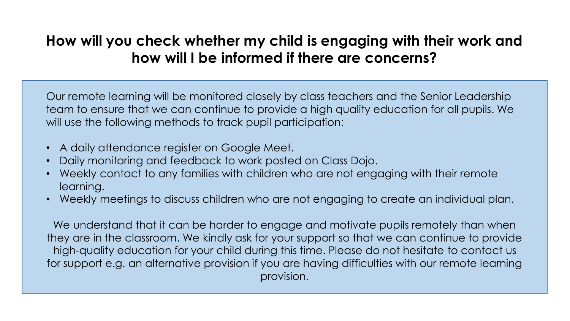# <span id="page-9-0"></span>**How will you check whether my child is engaging with their work and how will I be informed if there are concerns?**

Our remote learning will be monitored closely by class teachers and the Senior Leadership team to ensure that we can continue to provide a high quality education for all pupils. We will use the following methods to track pupil participation:

- A daily attendance register on Google Meet.
- Daily monitoring and feedback to work posted on Class Dojo.
- Weekly contact to any families with children who are not engaging with their remote learning.
- Weekly meetings to discuss children who are not engaging to create an individual plan.

We understand that it can be harder to engage and motivate pupils remotely than when they are in the classroom. We kindly ask for your support so that we can continue to provide high-quality education for your child during this time. Please do not hesitate to contact us for support e.g. an alternative provision if you are having difficulties with our remote learning provision.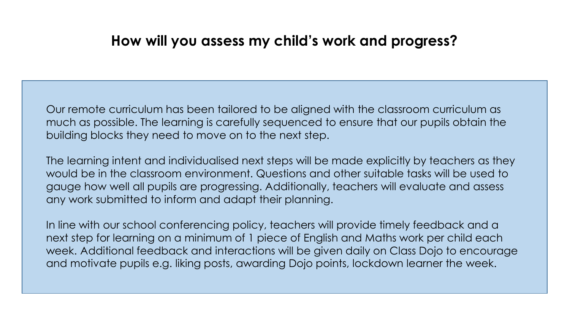### **How will you assess my child's work and progress?**

<span id="page-10-0"></span>Our remote curriculum has been tailored to be aligned with the classroom curriculum as much as possible. The learning is carefully sequenced to ensure that our pupils obtain the building blocks they need to move on to the next step.

The learning intent and individualised next steps will be made explicitly by teachers as they would be in the classroom environment. Questions and other suitable tasks will be used to gauge how well all pupils are progressing. Additionally, teachers will evaluate and assess any work submitted to inform and adapt their planning.

In line with our school conferencing policy, teachers will provide timely feedback and a next step for learning on a minimum of 1 piece of English and Maths work per child each week. Additional feedback and interactions will be given daily on Class Dojo to encourage and motivate pupils e.g. liking posts, awarding Dojo points, lockdown learner the week.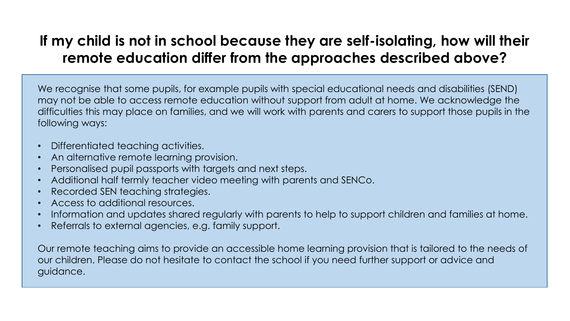# <span id="page-11-0"></span>**If my child is not in school because they are self-isolating, how will their remote education differ from the approaches described above?**

We recognise that some pupils, for example pupils with special educational needs and disabilities (SEND) may not be able to access remote education without support from adult at home. We acknowledge the difficulties this may place on families, and we will work with parents and carers to support those pupils in the following ways:

- Differentiated teaching activities.
- An alternative remote learning provision.
- Personalised pupil passports with targets and next steps.
- Additional half termly teacher video meeting with parents and SENCo.
- Recorded SEN teaching strategies.
- Access to additional resources.
- Information and updates shared regularly with parents to help to support children and families at home.
- Referrals to external agencies, e.g. family support.

Our remote teaching aims to provide an accessible home learning provision that is tailored to the needs of our children. Please do not hesitate to contact the school if you need further support or advice and guidance.